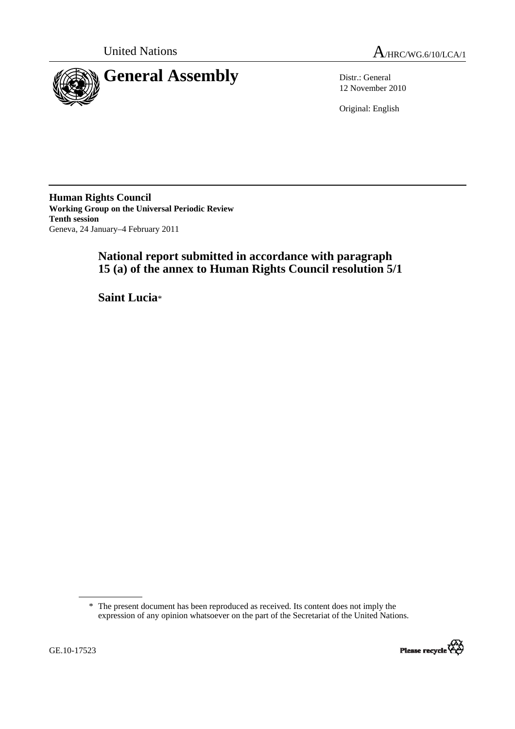



12 November 2010

Original: English

**Human Rights Council Working Group on the Universal Periodic Review Tenth session**  Geneva, 24 January–4 February 2011

# **National report submitted in accordance with paragraph 15 (a) of the annex to Human Rights Council resolution 5/1**

 **Saint Lucia**\*

<sup>\*</sup> The present document has been reproduced as received. Its content does not imply the expression of any opinion whatsoever on the part of the Secretariat of the United Nations.

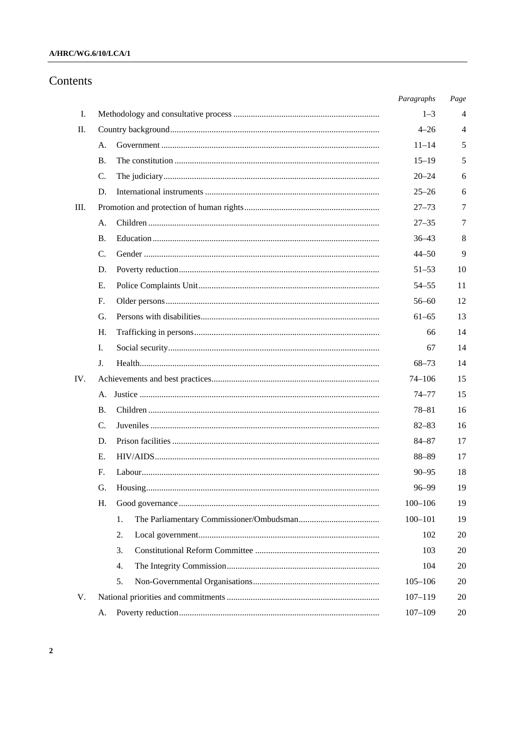### $A/HRC/WG.6/10/LCA/1$

## Contents

|     |             |    | Paragraphs  | Page           |
|-----|-------------|----|-------------|----------------|
| Ι.  |             |    | $1 - 3$     | 4              |
| П.  |             |    | $4 - 26$    | $\overline{4}$ |
|     | А.          |    | $11 - 14$   | 5              |
|     | <b>B.</b>   |    | $15 - 19$   | 5              |
|     | C.          |    | $20 - 24$   | 6              |
|     | D.          |    | $25 - 26$   | 6              |
| Ш.  |             |    | $27 - 73$   | 7              |
|     | A.          |    | $27 - 35$   | 7              |
|     | <b>B.</b>   |    | $36 - 43$   | 8              |
|     | C.          |    | $44 - 50$   | 9              |
|     | D.          |    | $51 - 53$   | 10             |
|     | E.          |    | $54 - 55$   | 11             |
|     | $F_{\cdot}$ |    | $56 - 60$   | 12             |
|     | G.          |    | $61 - 65$   | 13             |
|     | H.          |    | 66          | 14             |
|     | I.          |    | 67          | 14             |
|     | J.          |    | $68 - 73$   | 14             |
| IV. |             |    | $74 - 106$  | 15             |
|     | А.          |    | 74–77       | 15             |
|     | <b>B.</b>   |    | $78 - 81$   | 16             |
|     | C.          |    | $82 - 83$   | 16             |
|     | D.          |    | 84-87       | 17             |
|     | E.          |    | 88-89       | 17             |
|     | F.          |    | $90 - 95$   | 18             |
|     | G.          |    | 96–99       | 19             |
|     | Η.          |    | $100 - 106$ | 19             |
|     |             | 1. | $100 - 101$ | 19             |
|     |             | 2. | 102         | 20             |
|     |             | 3. | 103         | 20             |
|     |             | 4. | 104         | 20             |
|     |             | 5. | $105 - 106$ | 20             |
| V.  |             |    | $107 - 119$ | 20             |
|     | А.          |    | $107 - 109$ | 20             |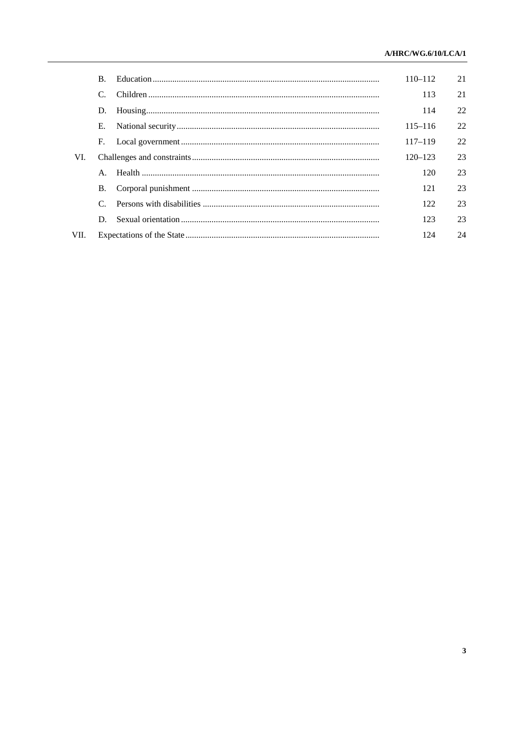|      | <sup>B</sup>   |  | $110 - 112$ | 21 |
|------|----------------|--|-------------|----|
|      | $\mathcal{C}$  |  | 113         | 21 |
|      | D.             |  | 114         | 22 |
|      | Е.             |  | $115 - 116$ | 22 |
|      | F.             |  | $117 - 119$ | 22 |
| VI.  |                |  | $120 - 123$ | 23 |
|      | $\mathsf{A}$ . |  | 120         | 23 |
|      | В.             |  | 121         | 23 |
|      |                |  | 122         | 23 |
|      | D.             |  | 123         | 23 |
| VII. |                |  | 124         | 24 |
|      |                |  |             |    |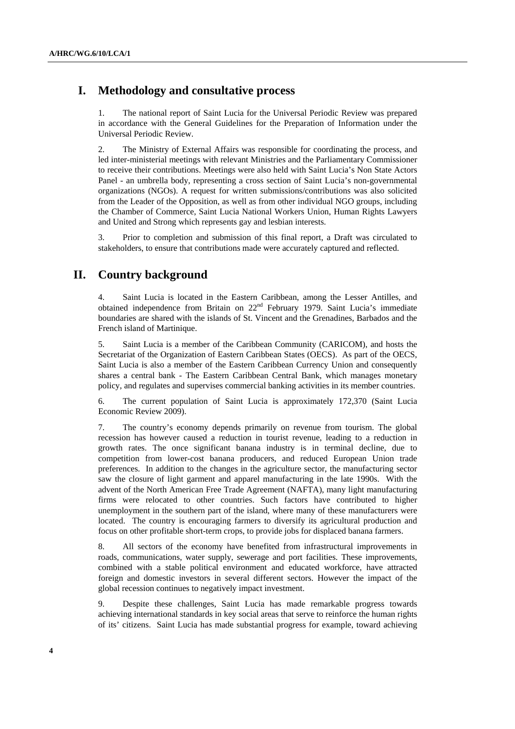## **I. Methodology and consultative process**

1. The national report of Saint Lucia for the Universal Periodic Review was prepared in accordance with the General Guidelines for the Preparation of Information under the Universal Periodic Review.

2. The Ministry of External Affairs was responsible for coordinating the process, and led inter-ministerial meetings with relevant Ministries and the Parliamentary Commissioner to receive their contributions. Meetings were also held with Saint Lucia's Non State Actors Panel - an umbrella body, representing a cross section of Saint Lucia's non-governmental organizations (NGOs). A request for written submissions/contributions was also solicited from the Leader of the Opposition, as well as from other individual NGO groups, including the Chamber of Commerce, Saint Lucia National Workers Union, Human Rights Lawyers and United and Strong which represents gay and lesbian interests.

3. Prior to completion and submission of this final report, a Draft was circulated to stakeholders, to ensure that contributions made were accurately captured and reflected.

## **II. Country background**

4. Saint Lucia is located in the Eastern Caribbean, among the Lesser Antilles, and obtained independence from Britain on 22<sup>nd</sup> February 1979. Saint Lucia's immediate boundaries are shared with the islands of St. Vincent and the Grenadines, Barbados and the French island of Martinique.

5. Saint Lucia is a member of the Caribbean Community (CARICOM), and hosts the Secretariat of the Organization of Eastern Caribbean States (OECS). As part of the OECS, Saint Lucia is also a member of the Eastern Caribbean Currency Union and consequently shares a central bank - The Eastern Caribbean Central Bank, which manages monetary policy, and regulates and supervises commercial banking activities in its member countries.

6. The current population of Saint Lucia is approximately 172,370 (Saint Lucia Economic Review 2009).

7. The country's economy depends primarily on revenue from tourism. The global recession has however caused a reduction in tourist revenue, leading to a reduction in growth rates. The once significant banana industry is in terminal decline, due to competition from lower-cost banana producers, and reduced European Union trade preferences. In addition to the changes in the agriculture sector, the manufacturing sector saw the closure of light garment and apparel manufacturing in the late 1990s. With the advent of the North American Free Trade Agreement (NAFTA), many light manufacturing firms were relocated to other countries. Such factors have contributed to higher unemployment in the southern part of the island, where many of these manufacturers were located. The country is encouraging farmers to diversify its agricultural production and focus on other profitable short-term crops, to provide jobs for displaced banana farmers.

8. All sectors of the economy have benefited from infrastructural improvements in roads, communications, water supply, sewerage and port facilities. These improvements, combined with a stable political environment and educated workforce, have attracted foreign and domestic investors in several different sectors. However the impact of the global recession continues to negatively impact investment.

9. Despite these challenges, Saint Lucia has made remarkable progress towards achieving international standards in key social areas that serve to reinforce the human rights of its' citizens. Saint Lucia has made substantial progress for example, toward achieving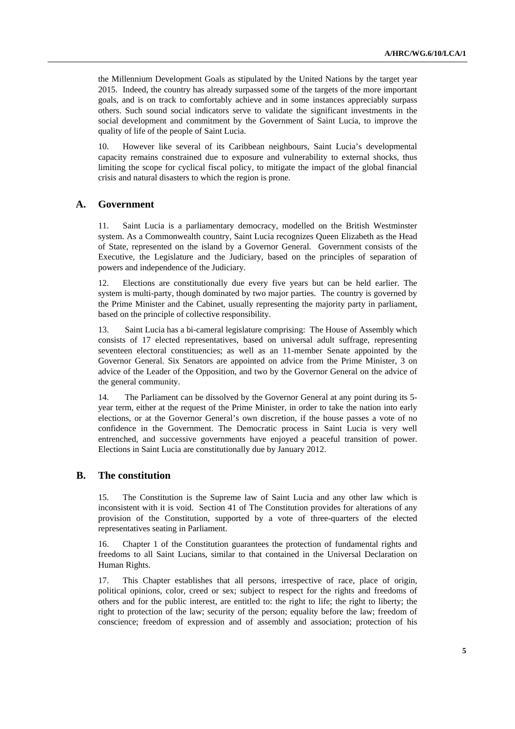the Millennium Development Goals as stipulated by the United Nations by the target year 2015. Indeed, the country has already surpassed some of the targets of the more important goals, and is on track to comfortably achieve and in some instances appreciably surpass others. Such sound social indicators serve to validate the significant investments in the social development and commitment by the Government of Saint Lucia, to improve the quality of life of the people of Saint Lucia.

10. However like several of its Caribbean neighbours, Saint Lucia's developmental capacity remains constrained due to exposure and vulnerability to external shocks, thus limiting the scope for cyclical fiscal policy, to mitigate the impact of the global financial crisis and natural disasters to which the region is prone.

### **A. Government**

11. Saint Lucia is a parliamentary democracy, modelled on the British Westminster system. As a Commonwealth country, Saint Lucia recognizes Queen Elizabeth as the Head of State, represented on the island by a Governor General. Government consists of the Executive, the Legislature and the Judiciary, based on the principles of separation of powers and independence of the Judiciary.

12. Elections are constitutionally due every five years but can be held earlier. The system is multi-party, though dominated by two major parties. The country is governed by the Prime Minister and the Cabinet, usually representing the majority party in parliament, based on the principle of collective responsibility.

13. Saint Lucia has a bi-cameral legislature comprising: The House of Assembly which consists of 17 elected representatives, based on universal adult suffrage, representing seventeen electoral constituencies; as well as an 11-member Senate appointed by the Governor General. Six Senators are appointed on advice from the Prime Minister, 3 on advice of the Leader of the Opposition, and two by the Governor General on the advice of the general community.

14. The Parliament can be dissolved by the Governor General at any point during its 5 year term, either at the request of the Prime Minister, in order to take the nation into early elections, or at the Governor General's own discretion, if the house passes a vote of no confidence in the Government. The Democratic process in Saint Lucia is very well entrenched, and successive governments have enjoyed a peaceful transition of power. Elections in Saint Lucia are constitutionally due by January 2012.

### **B. The constitution**

15. The Constitution is the Supreme law of Saint Lucia and any other law which is inconsistent with it is void. Section 41 of The Constitution provides for alterations of any provision of the Constitution, supported by a vote of three-quarters of the elected representatives seating in Parliament.

16. Chapter 1 of the Constitution guarantees the protection of fundamental rights and freedoms to all Saint Lucians, similar to that contained in the Universal Declaration on Human Rights.

This Chapter establishes that all persons, irrespective of race, place of origin, political opinions, color, creed or sex; subject to respect for the rights and freedoms of others and for the public interest, are entitled to: the right to life; the right to liberty; the right to protection of the law; security of the person; equality before the law; freedom of conscience; freedom of expression and of assembly and association; protection of his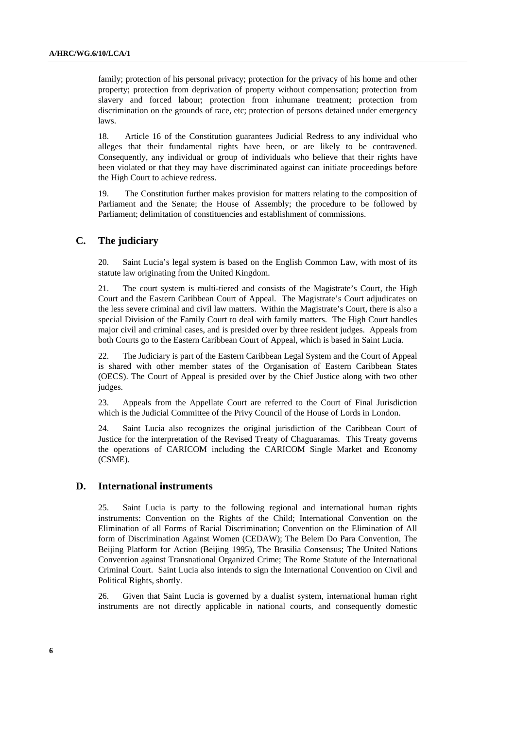family; protection of his personal privacy; protection for the privacy of his home and other property; protection from deprivation of property without compensation; protection from slavery and forced labour; protection from inhumane treatment; protection from discrimination on the grounds of race, etc; protection of persons detained under emergency laws.

18. Article 16 of the Constitution guarantees Judicial Redress to any individual who alleges that their fundamental rights have been, or are likely to be contravened. Consequently, any individual or group of individuals who believe that their rights have been violated or that they may have discriminated against can initiate proceedings before the High Court to achieve redress.

19. The Constitution further makes provision for matters relating to the composition of Parliament and the Senate; the House of Assembly; the procedure to be followed by Parliament; delimitation of constituencies and establishment of commissions.

### **C. The judiciary**

20. Saint Lucia's legal system is based on the English Common Law, with most of its statute law originating from the United Kingdom.

21. The court system is multi-tiered and consists of the Magistrate's Court, the High Court and the Eastern Caribbean Court of Appeal. The Magistrate's Court adjudicates on the less severe criminal and civil law matters. Within the Magistrate's Court, there is also a special Division of the Family Court to deal with family matters. The High Court handles major civil and criminal cases, and is presided over by three resident judges. Appeals from both Courts go to the Eastern Caribbean Court of Appeal, which is based in Saint Lucia.

22. The Judiciary is part of the Eastern Caribbean Legal System and the Court of Appeal is shared with other member states of the Organisation of Eastern Caribbean States (OECS). The Court of Appeal is presided over by the Chief Justice along with two other judges.

23. Appeals from the Appellate Court are referred to the Court of Final Jurisdiction which is the Judicial Committee of the Privy Council of the House of Lords in London.

24. Saint Lucia also recognizes the original jurisdiction of the Caribbean Court of Justice for the interpretation of the Revised Treaty of Chaguaramas. This Treaty governs the operations of CARICOM including the CARICOM Single Market and Economy (CSME).

#### **D. International instruments**

25. Saint Lucia is party to the following regional and international human rights instruments: Convention on the Rights of the Child; International Convention on the Elimination of all Forms of Racial Discrimination; Convention on the Elimination of All form of Discrimination Against Women (CEDAW); The Belem Do Para Convention, The Beijing Platform for Action (Beijing 1995), The Brasilia Consensus; The United Nations Convention against Transnational Organized Crime; The Rome Statute of the International Criminal Court. Saint Lucia also intends to sign the International Convention on Civil and Political Rights, shortly.

26. Given that Saint Lucia is governed by a dualist system, international human right instruments are not directly applicable in national courts, and consequently domestic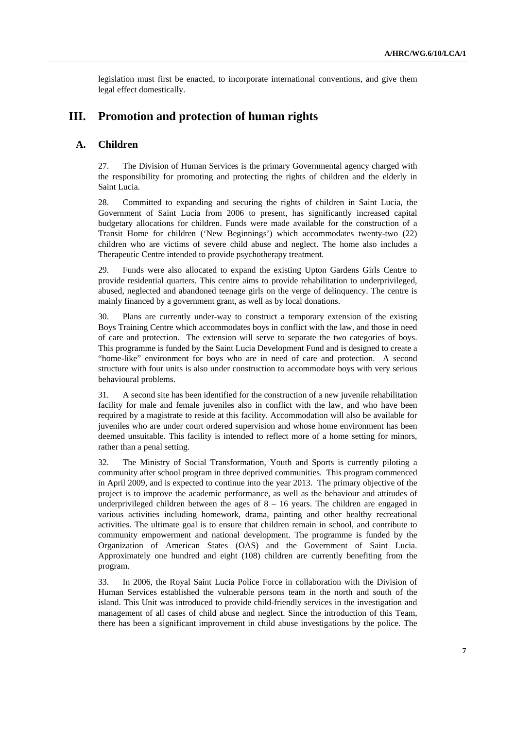legislation must first be enacted, to incorporate international conventions, and give them legal effect domestically.

## **III. Promotion and protection of human rights**

### **A. Children**

27. The Division of Human Services is the primary Governmental agency charged with the responsibility for promoting and protecting the rights of children and the elderly in Saint Lucia.

28. Committed to expanding and securing the rights of children in Saint Lucia, the Government of Saint Lucia from 2006 to present, has significantly increased capital budgetary allocations for children. Funds were made available for the construction of a Transit Home for children ('New Beginnings') which accommodates twenty-two (22) children who are victims of severe child abuse and neglect. The home also includes a Therapeutic Centre intended to provide psychotherapy treatment.

29. Funds were also allocated to expand the existing Upton Gardens Girls Centre to provide residential quarters. This centre aims to provide rehabilitation to underprivileged, abused, neglected and abandoned teenage girls on the verge of delinquency. The centre is mainly financed by a government grant, as well as by local donations.

30. Plans are currently under-way to construct a temporary extension of the existing Boys Training Centre which accommodates boys in conflict with the law, and those in need of care and protection. The extension will serve to separate the two categories of boys. This programme is funded by the Saint Lucia Development Fund and is designed to create a "home-like" environment for boys who are in need of care and protection. A second structure with four units is also under construction to accommodate boys with very serious behavioural problems.

31. A second site has been identified for the construction of a new juvenile rehabilitation facility for male and female juveniles also in conflict with the law, and who have been required by a magistrate to reside at this facility. Accommodation will also be available for juveniles who are under court ordered supervision and whose home environment has been deemed unsuitable. This facility is intended to reflect more of a home setting for minors, rather than a penal setting.

32. The Ministry of Social Transformation, Youth and Sports is currently piloting a community after school program in three deprived communities. This program commenced in April 2009, and is expected to continue into the year 2013. The primary objective of the project is to improve the academic performance, as well as the behaviour and attitudes of underprivileged children between the ages of  $8 - 16$  years. The children are engaged in various activities including homework, drama, painting and other healthy recreational activities. The ultimate goal is to ensure that children remain in school, and contribute to community empowerment and national development. The programme is funded by the Organization of American States (OAS) and the Government of Saint Lucia. Approximately one hundred and eight (108) children are currently benefiting from the program.

33. In 2006, the Royal Saint Lucia Police Force in collaboration with the Division of Human Services established the vulnerable persons team in the north and south of the island. This Unit was introduced to provide child-friendly services in the investigation and management of all cases of child abuse and neglect. Since the introduction of this Team, there has been a significant improvement in child abuse investigations by the police. The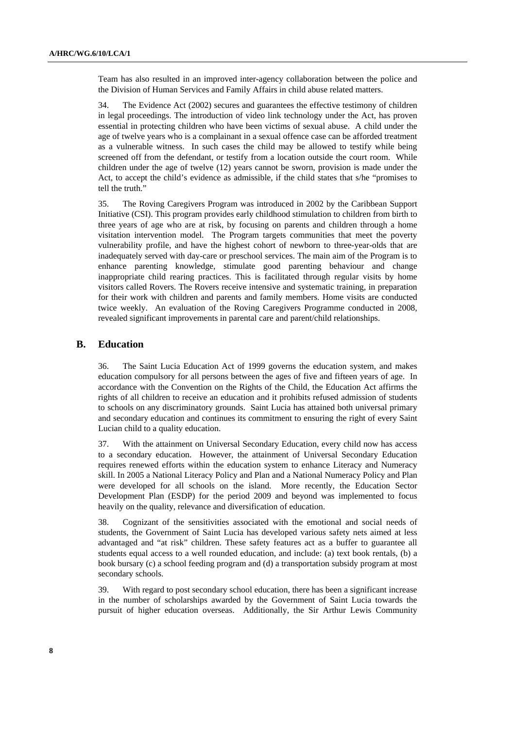Team has also resulted in an improved inter-agency collaboration between the police and the Division of Human Services and Family Affairs in child abuse related matters.

34. The Evidence Act (2002) secures and guarantees the effective testimony of children in legal proceedings. The introduction of video link technology under the Act, has proven essential in protecting children who have been victims of sexual abuse. A child under the age of twelve years who is a complainant in a sexual offence case can be afforded treatment as a vulnerable witness. In such cases the child may be allowed to testify while being screened off from the defendant, or testify from a location outside the court room. While children under the age of twelve (12) years cannot be sworn, provision is made under the Act, to accept the child's evidence as admissible, if the child states that s/he "promises to tell the truth."

35. The Roving Caregivers Program was introduced in 2002 by the Caribbean Support Initiative (CSI). This program provides early childhood stimulation to children from birth to three years of age who are at risk, by focusing on parents and children through a home visitation intervention model. The Program targets communities that meet the poverty vulnerability profile, and have the highest cohort of newborn to three-year-olds that are inadequately served with day-care or preschool services. The main aim of the Program is to enhance parenting knowledge, stimulate good parenting behaviour and change inappropriate child rearing practices. This is facilitated through regular visits by home visitors called Rovers. The Rovers receive intensive and systematic training, in preparation for their work with children and parents and family members. Home visits are conducted twice weekly. An evaluation of the Roving Caregivers Programme conducted in 2008, revealed significant improvements in parental care and parent/child relationships.

#### **B. Education**

36. The Saint Lucia Education Act of 1999 governs the education system, and makes education compulsory for all persons between the ages of five and fifteen years of age. In accordance with the Convention on the Rights of the Child, the Education Act affirms the rights of all children to receive an education and it prohibits refused admission of students to schools on any discriminatory grounds. Saint Lucia has attained both universal primary and secondary education and continues its commitment to ensuring the right of every Saint Lucian child to a quality education.

37. With the attainment on Universal Secondary Education, every child now has access to a secondary education. However, the attainment of Universal Secondary Education requires renewed efforts within the education system to enhance Literacy and Numeracy skill. In 2005 a National Literacy Policy and Plan and a National Numeracy Policy and Plan were developed for all schools on the island. More recently, the Education Sector Development Plan (ESDP) for the period 2009 and beyond was implemented to focus heavily on the quality, relevance and diversification of education.

38. Cognizant of the sensitivities associated with the emotional and social needs of students, the Government of Saint Lucia has developed various safety nets aimed at less advantaged and "at risk" children. These safety features act as a buffer to guarantee all students equal access to a well rounded education, and include: (a) text book rentals, (b) a book bursary (c) a school feeding program and (d) a transportation subsidy program at most secondary schools.

39. With regard to post secondary school education, there has been a significant increase in the number of scholarships awarded by the Government of Saint Lucia towards the pursuit of higher education overseas. Additionally, the Sir Arthur Lewis Community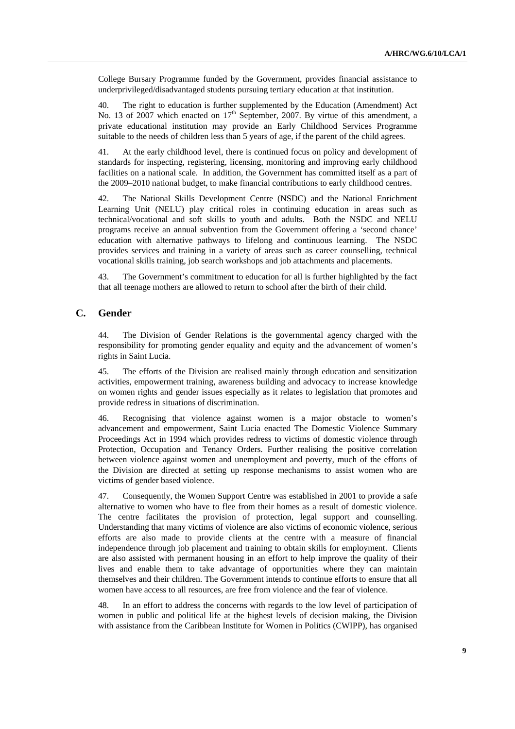College Bursary Programme funded by the Government, provides financial assistance to underprivileged/disadvantaged students pursuing tertiary education at that institution.

40. The right to education is further supplemented by the Education (Amendment) Act No. 13 of 2007 which enacted on 17<sup>th</sup> September, 2007. By virtue of this amendment, a private educational institution may provide an Early Childhood Services Programme suitable to the needs of children less than 5 years of age, if the parent of the child agrees.

41. At the early childhood level, there is continued focus on policy and development of standards for inspecting, registering, licensing, monitoring and improving early childhood facilities on a national scale. In addition, the Government has committed itself as a part of the 2009–2010 national budget, to make financial contributions to early childhood centres.

42. The National Skills Development Centre (NSDC) and the National Enrichment Learning Unit (NELU) play critical roles in continuing education in areas such as technical/vocational and soft skills to youth and adults. Both the NSDC and NELU programs receive an annual subvention from the Government offering a 'second chance' education with alternative pathways to lifelong and continuous learning. The NSDC provides services and training in a variety of areas such as career counselling, technical vocational skills training, job search workshops and job attachments and placements.

43. The Government's commitment to education for all is further highlighted by the fact that all teenage mothers are allowed to return to school after the birth of their child.

### **C. Gender**

44. The Division of Gender Relations is the governmental agency charged with the responsibility for promoting gender equality and equity and the advancement of women's rights in Saint Lucia.

45. The efforts of the Division are realised mainly through education and sensitization activities, empowerment training, awareness building and advocacy to increase knowledge on women rights and gender issues especially as it relates to legislation that promotes and provide redress in situations of discrimination.

46. Recognising that violence against women is a major obstacle to women's advancement and empowerment, Saint Lucia enacted The Domestic Violence Summary Proceedings Act in 1994 which provides redress to victims of domestic violence through Protection, Occupation and Tenancy Orders. Further realising the positive correlation between violence against women and unemployment and poverty, much of the efforts of the Division are directed at setting up response mechanisms to assist women who are victims of gender based violence.

47. Consequently, the Women Support Centre was established in 2001 to provide a safe alternative to women who have to flee from their homes as a result of domestic violence. The centre facilitates the provision of protection, legal support and counselling. Understanding that many victims of violence are also victims of economic violence, serious efforts are also made to provide clients at the centre with a measure of financial independence through job placement and training to obtain skills for employment. Clients are also assisted with permanent housing in an effort to help improve the quality of their lives and enable them to take advantage of opportunities where they can maintain themselves and their children. The Government intends to continue efforts to ensure that all women have access to all resources, are free from violence and the fear of violence.

48. In an effort to address the concerns with regards to the low level of participation of women in public and political life at the highest levels of decision making, the Division with assistance from the Caribbean Institute for Women in Politics (CWIPP), has organised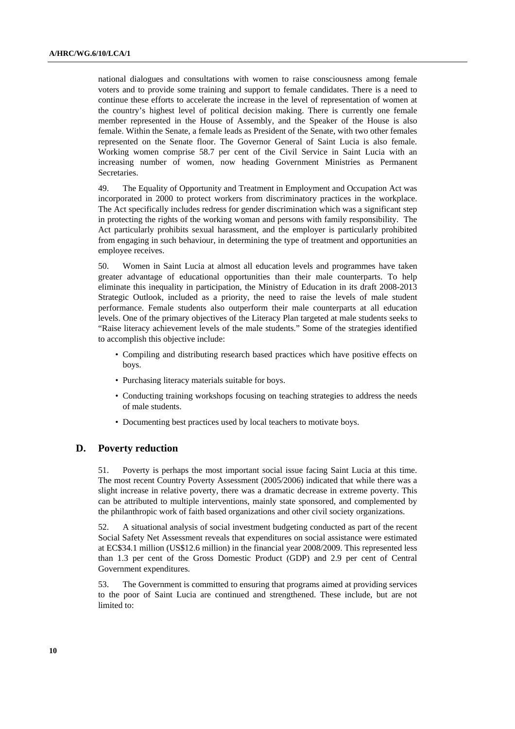national dialogues and consultations with women to raise consciousness among female voters and to provide some training and support to female candidates. There is a need to continue these efforts to accelerate the increase in the level of representation of women at the country's highest level of political decision making. There is currently one female member represented in the House of Assembly, and the Speaker of the House is also female. Within the Senate, a female leads as President of the Senate, with two other females represented on the Senate floor. The Governor General of Saint Lucia is also female. Working women comprise 58.7 per cent of the Civil Service in Saint Lucia with an increasing number of women, now heading Government Ministries as Permanent Secretaries.

49. The Equality of Opportunity and Treatment in Employment and Occupation Act was incorporated in 2000 to protect workers from discriminatory practices in the workplace. The Act specifically includes redress for gender discrimination which was a significant step in protecting the rights of the working woman and persons with family responsibility. The Act particularly prohibits sexual harassment, and the employer is particularly prohibited from engaging in such behaviour, in determining the type of treatment and opportunities an employee receives.

50. Women in Saint Lucia at almost all education levels and programmes have taken greater advantage of educational opportunities than their male counterparts. To help eliminate this inequality in participation, the Ministry of Education in its draft 2008-2013 Strategic Outlook, included as a priority, the need to raise the levels of male student performance. Female students also outperform their male counterparts at all education levels. One of the primary objectives of the Literacy Plan targeted at male students seeks to "Raise literacy achievement levels of the male students." Some of the strategies identified to accomplish this objective include:

- Compiling and distributing research based practices which have positive effects on boys.
- Purchasing literacy materials suitable for boys.
- Conducting training workshops focusing on teaching strategies to address the needs of male students.
- Documenting best practices used by local teachers to motivate boys.

#### **D. Poverty reduction**

51. Poverty is perhaps the most important social issue facing Saint Lucia at this time. The most recent Country Poverty Assessment (2005/2006) indicated that while there was a slight increase in relative poverty, there was a dramatic decrease in extreme poverty. This can be attributed to multiple interventions, mainly state sponsored, and complemented by the philanthropic work of faith based organizations and other civil society organizations.

52. A situational analysis of social investment budgeting conducted as part of the recent Social Safety Net Assessment reveals that expenditures on social assistance were estimated at EC\$34.1 million (US\$12.6 million) in the financial year 2008/2009. This represented less than 1.3 per cent of the Gross Domestic Product (GDP) and 2.9 per cent of Central Government expenditures.

53. The Government is committed to ensuring that programs aimed at providing services to the poor of Saint Lucia are continued and strengthened. These include, but are not limited to: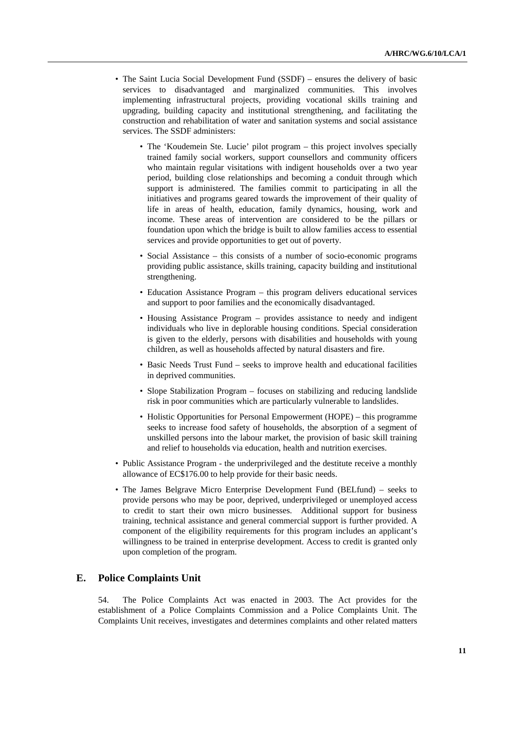- The Saint Lucia Social Development Fund (SSDF) ensures the delivery of basic services to disadvantaged and marginalized communities. This involves implementing infrastructural projects, providing vocational skills training and upgrading, building capacity and institutional strengthening, and facilitating the construction and rehabilitation of water and sanitation systems and social assistance services. The SSDF administers:
	- The 'Koudemein Ste. Lucie' pilot program this project involves specially trained family social workers, support counsellors and community officers who maintain regular visitations with indigent households over a two year period, building close relationships and becoming a conduit through which support is administered. The families commit to participating in all the initiatives and programs geared towards the improvement of their quality of life in areas of health, education, family dynamics, housing, work and income. These areas of intervention are considered to be the pillars or foundation upon which the bridge is built to allow families access to essential services and provide opportunities to get out of poverty.
	- Social Assistance this consists of a number of socio-economic programs providing public assistance, skills training, capacity building and institutional strengthening.
	- Education Assistance Program this program delivers educational services and support to poor families and the economically disadvantaged.
	- Housing Assistance Program provides assistance to needy and indigent individuals who live in deplorable housing conditions. Special consideration is given to the elderly, persons with disabilities and households with young children, as well as households affected by natural disasters and fire.
	- Basic Needs Trust Fund seeks to improve health and educational facilities in deprived communities.
	- Slope Stabilization Program focuses on stabilizing and reducing landslide risk in poor communities which are particularly vulnerable to landslides.
	- Holistic Opportunities for Personal Empowerment (HOPE) this programme seeks to increase food safety of households, the absorption of a segment of unskilled persons into the labour market, the provision of basic skill training and relief to households via education, health and nutrition exercises.
- Public Assistance Program the underprivileged and the destitute receive a monthly allowance of EC\$176.00 to help provide for their basic needs.
- The James Belgrave Micro Enterprise Development Fund (BELfund) seeks to provide persons who may be poor, deprived, underprivileged or unemployed access to credit to start their own micro businesses. Additional support for business training, technical assistance and general commercial support is further provided. A component of the eligibility requirements for this program includes an applicant's willingness to be trained in enterprise development. Access to credit is granted only upon completion of the program.

#### **E. Police Complaints Unit**

54. The Police Complaints Act was enacted in 2003. The Act provides for the establishment of a Police Complaints Commission and a Police Complaints Unit. The Complaints Unit receives, investigates and determines complaints and other related matters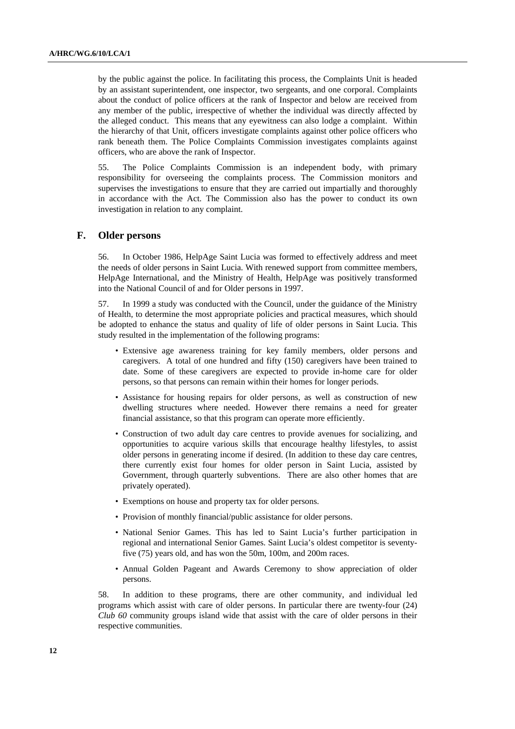by the public against the police. In facilitating this process, the Complaints Unit is headed by an assistant superintendent, one inspector, two sergeants, and one corporal. Complaints about the conduct of police officers at the rank of Inspector and below are received from any member of the public, irrespective of whether the individual was directly affected by the alleged conduct. This means that any eyewitness can also lodge a complaint. Within the hierarchy of that Unit, officers investigate complaints against other police officers who rank beneath them. The Police Complaints Commission investigates complaints against officers, who are above the rank of Inspector.

55. The Police Complaints Commission is an independent body, with primary responsibility for overseeing the complaints process. The Commission monitors and supervises the investigations to ensure that they are carried out impartially and thoroughly in accordance with the Act. The Commission also has the power to conduct its own investigation in relation to any complaint.

### **F. Older persons**

56. In October 1986, HelpAge Saint Lucia was formed to effectively address and meet the needs of older persons in Saint Lucia. With renewed support from committee members, HelpAge International, and the Ministry of Health, HelpAge was positively transformed into the National Council of and for Older persons in 1997.

57. In 1999 a study was conducted with the Council, under the guidance of the Ministry of Health, to determine the most appropriate policies and practical measures, which should be adopted to enhance the status and quality of life of older persons in Saint Lucia. This study resulted in the implementation of the following programs:

- Extensive age awareness training for key family members, older persons and caregivers. A total of one hundred and fifty (150) caregivers have been trained to date. Some of these caregivers are expected to provide in-home care for older persons, so that persons can remain within their homes for longer periods.
- Assistance for housing repairs for older persons, as well as construction of new dwelling structures where needed. However there remains a need for greater financial assistance, so that this program can operate more efficiently.
- Construction of two adult day care centres to provide avenues for socializing, and opportunities to acquire various skills that encourage healthy lifestyles, to assist older persons in generating income if desired. (In addition to these day care centres, there currently exist four homes for older person in Saint Lucia, assisted by Government, through quarterly subventions. There are also other homes that are privately operated).
- Exemptions on house and property tax for older persons.
- Provision of monthly financial/public assistance for older persons.
- National Senior Games. This has led to Saint Lucia's further participation in regional and international Senior Games. Saint Lucia's oldest competitor is seventyfive (75) years old, and has won the 50m, 100m, and 200m races.
- Annual Golden Pageant and Awards Ceremony to show appreciation of older persons.

58. In addition to these programs, there are other community, and individual led programs which assist with care of older persons. In particular there are twenty-four (24) *Club 60* community groups island wide that assist with the care of older persons in their respective communities.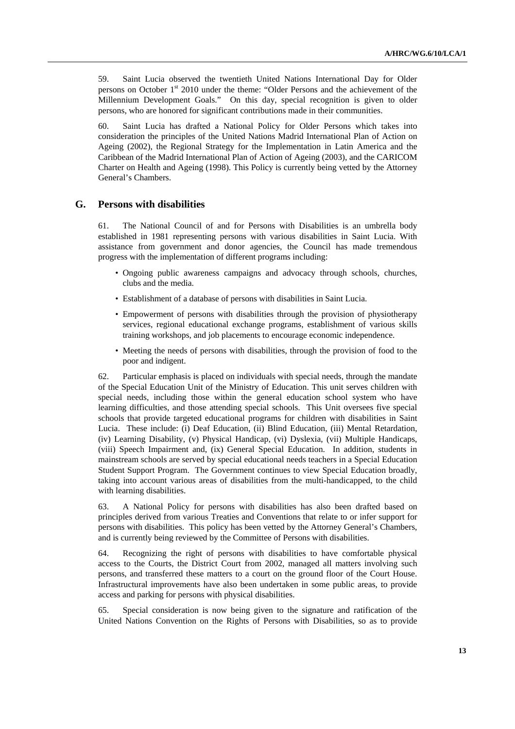59. Saint Lucia observed the twentieth United Nations International Day for Older persons on October 1st 2010 under the theme: "Older Persons and the achievement of the Millennium Development Goals." On this day, special recognition is given to older persons, who are honored for significant contributions made in their communities.

60. Saint Lucia has drafted a National Policy for Older Persons which takes into consideration the principles of the United Nations Madrid International Plan of Action on Ageing (2002), the Regional Strategy for the Implementation in Latin America and the Caribbean of the Madrid International Plan of Action of Ageing (2003), and the CARICOM Charter on Health and Ageing (1998). This Policy is currently being vetted by the Attorney General's Chambers.

### **G. Persons with disabilities**

61. The National Council of and for Persons with Disabilities is an umbrella body established in 1981 representing persons with various disabilities in Saint Lucia. With assistance from government and donor agencies, the Council has made tremendous progress with the implementation of different programs including:

- Ongoing public awareness campaigns and advocacy through schools, churches, clubs and the media.
- Establishment of a database of persons with disabilities in Saint Lucia.
- Empowerment of persons with disabilities through the provision of physiotherapy services, regional educational exchange programs, establishment of various skills training workshops, and job placements to encourage economic independence.
- Meeting the needs of persons with disabilities, through the provision of food to the poor and indigent.

62. Particular emphasis is placed on individuals with special needs, through the mandate of the Special Education Unit of the Ministry of Education. This unit serves children with special needs, including those within the general education school system who have learning difficulties, and those attending special schools. This Unit oversees five special schools that provide targeted educational programs for children with disabilities in Saint Lucia. These include: (i) Deaf Education, (ii) Blind Education, (iii) Mental Retardation, (iv) Learning Disability, (v) Physical Handicap, (vi) Dyslexia, (vii) Multiple Handicaps, (viii) Speech Impairment and, (ix) General Special Education. In addition, students in mainstream schools are served by special educational needs teachers in a Special Education Student Support Program. The Government continues to view Special Education broadly, taking into account various areas of disabilities from the multi-handicapped, to the child with learning disabilities.

63. A National Policy for persons with disabilities has also been drafted based on principles derived from various Treaties and Conventions that relate to or infer support for persons with disabilities. This policy has been vetted by the Attorney General's Chambers, and is currently being reviewed by the Committee of Persons with disabilities.

64. Recognizing the right of persons with disabilities to have comfortable physical access to the Courts, the District Court from 2002, managed all matters involving such persons, and transferred these matters to a court on the ground floor of the Court House. Infrastructural improvements have also been undertaken in some public areas, to provide access and parking for persons with physical disabilities.

65. Special consideration is now being given to the signature and ratification of the United Nations Convention on the Rights of Persons with Disabilities, so as to provide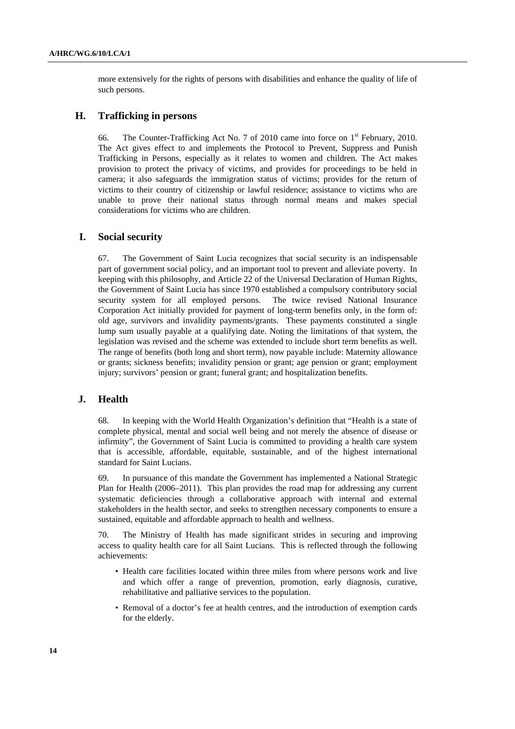more extensively for the rights of persons with disabilities and enhance the quality of life of such persons.

### **H. Trafficking in persons**

66. The Counter-Trafficking Act No. 7 of 2010 came into force on 1st February, 2010. The Act gives effect to and implements the Protocol to Prevent, Suppress and Punish Trafficking in Persons, especially as it relates to women and children. The Act makes provision to protect the privacy of victims, and provides for proceedings to be held in camera; it also safeguards the immigration status of victims; provides for the return of victims to their country of citizenship or lawful residence; assistance to victims who are unable to prove their national status through normal means and makes special considerations for victims who are children.

### **I. Social security**

67. The Government of Saint Lucia recognizes that social security is an indispensable part of government social policy, and an important tool to prevent and alleviate poverty. In keeping with this philosophy, and Article 22 of the Universal Declaration of Human Rights, the Government of Saint Lucia has since 1970 established a compulsory contributory social security system for all employed persons. The twice revised National Insurance Corporation Act initially provided for payment of long-term benefits only, in the form of: old age, survivors and invalidity payments/grants. These payments constituted a single lump sum usually payable at a qualifying date. Noting the limitations of that system, the legislation was revised and the scheme was extended to include short term benefits as well. The range of benefits (both long and short term), now payable include: Maternity allowance or grants; sickness benefits; invalidity pension or grant; age pension or grant; employment injury; survivors' pension or grant; funeral grant; and hospitalization benefits.

### **J. Health**

68. In keeping with the World Health Organization's definition that "Health is a state of complete physical, mental and social well being and not merely the absence of disease or infirmity", the Government of Saint Lucia is committed to providing a health care system that is accessible, affordable, equitable, sustainable, and of the highest international standard for Saint Lucians.

69. In pursuance of this mandate the Government has implemented a National Strategic Plan for Health (2006–2011). This plan provides the road map for addressing any current systematic deficiencies through a collaborative approach with internal and external stakeholders in the health sector, and seeks to strengthen necessary components to ensure a sustained, equitable and affordable approach to health and wellness.

70. The Ministry of Health has made significant strides in securing and improving access to quality health care for all Saint Lucians. This is reflected through the following achievements:

- Health care facilities located within three miles from where persons work and live and which offer a range of prevention, promotion, early diagnosis, curative, rehabilitative and palliative services to the population.
- Removal of a doctor's fee at health centres, and the introduction of exemption cards for the elderly.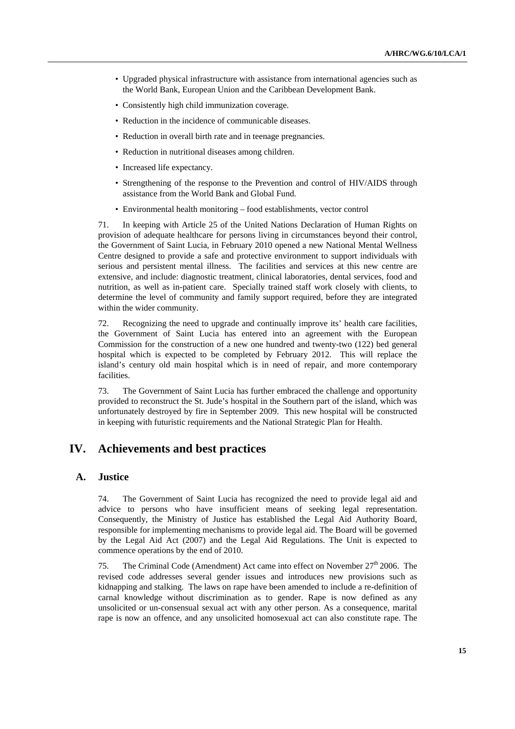- Upgraded physical infrastructure with assistance from international agencies such as the World Bank, European Union and the Caribbean Development Bank.
- Consistently high child immunization coverage.
- Reduction in the incidence of communicable diseases.
- Reduction in overall birth rate and in teenage pregnancies.
- Reduction in nutritional diseases among children.
- Increased life expectancy.
- Strengthening of the response to the Prevention and control of HIV/AIDS through assistance from the World Bank and Global Fund.
- Environmental health monitoring food establishments, vector control

71. In keeping with Article 25 of the United Nations Declaration of Human Rights on provision of adequate healthcare for persons living in circumstances beyond their control, the Government of Saint Lucia, in February 2010 opened a new National Mental Wellness Centre designed to provide a safe and protective environment to support individuals with serious and persistent mental illness. The facilities and services at this new centre are extensive, and include: diagnostic treatment, clinical laboratories, dental services, food and nutrition, as well as in-patient care. Specially trained staff work closely with clients, to determine the level of community and family support required, before they are integrated within the wider community.

72. Recognizing the need to upgrade and continually improve its' health care facilities, the Government of Saint Lucia has entered into an agreement with the European Commission for the construction of a new one hundred and twenty-two (122) bed general hospital which is expected to be completed by February 2012. This will replace the island's century old main hospital which is in need of repair, and more contemporary facilities.

73. The Government of Saint Lucia has further embraced the challenge and opportunity provided to reconstruct the St. Jude's hospital in the Southern part of the island, which was unfortunately destroyed by fire in September 2009. This new hospital will be constructed in keeping with futuristic requirements and the National Strategic Plan for Health.

## **IV. Achievements and best practices**

### **A. Justice**

74. The Government of Saint Lucia has recognized the need to provide legal aid and advice to persons who have insufficient means of seeking legal representation. Consequently, the Ministry of Justice has established the Legal Aid Authority Board, responsible for implementing mechanisms to provide legal aid. The Board will be governed by the Legal Aid Act (2007) and the Legal Aid Regulations. The Unit is expected to commence operations by the end of 2010.

75. The Criminal Code (Amendment) Act came into effect on November  $27<sup>th</sup> 2006$ . The revised code addresses several gender issues and introduces new provisions such as kidnapping and stalking. The laws on rape have been amended to include a re-definition of carnal knowledge without discrimination as to gender. Rape is now defined as any unsolicited or un-consensual sexual act with any other person. As a consequence, marital rape is now an offence, and any unsolicited homosexual act can also constitute rape. The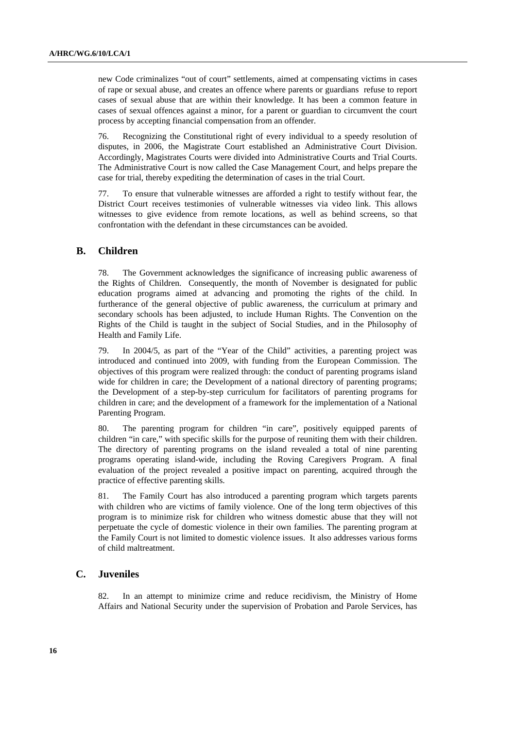new Code criminalizes "out of court" settlements, aimed at compensating victims in cases of rape or sexual abuse, and creates an offence where parents or guardians refuse to report cases of sexual abuse that are within their knowledge. It has been a common feature in cases of sexual offences against a minor, for a parent or guardian to circumvent the court process by accepting financial compensation from an offender.

76. Recognizing the Constitutional right of every individual to a speedy resolution of disputes, in 2006, the Magistrate Court established an Administrative Court Division. Accordingly, Magistrates Courts were divided into Administrative Courts and Trial Courts. The Administrative Court is now called the Case Management Court, and helps prepare the case for trial, thereby expediting the determination of cases in the trial Court.

77. To ensure that vulnerable witnesses are afforded a right to testify without fear, the District Court receives testimonies of vulnerable witnesses via video link. This allows witnesses to give evidence from remote locations, as well as behind screens, so that confrontation with the defendant in these circumstances can be avoided.

### **B. Children**

78. The Government acknowledges the significance of increasing public awareness of the Rights of Children. Consequently, the month of November is designated for public education programs aimed at advancing and promoting the rights of the child. In furtherance of the general objective of public awareness, the curriculum at primary and secondary schools has been adjusted, to include Human Rights. The Convention on the Rights of the Child is taught in the subject of Social Studies, and in the Philosophy of Health and Family Life.

79. In 2004/5, as part of the "Year of the Child" activities, a parenting project was introduced and continued into 2009, with funding from the European Commission. The objectives of this program were realized through: the conduct of parenting programs island wide for children in care; the Development of a national directory of parenting programs; the Development of a step-by-step curriculum for facilitators of parenting programs for children in care; and the development of a framework for the implementation of a National Parenting Program.

80. The parenting program for children "in care", positively equipped parents of children "in care," with specific skills for the purpose of reuniting them with their children. The directory of parenting programs on the island revealed a total of nine parenting programs operating island-wide, including the Roving Caregivers Program. A final evaluation of the project revealed a positive impact on parenting, acquired through the practice of effective parenting skills.

81. The Family Court has also introduced a parenting program which targets parents with children who are victims of family violence. One of the long term objectives of this program is to minimize risk for children who witness domestic abuse that they will not perpetuate the cycle of domestic violence in their own families. The parenting program at the Family Court is not limited to domestic violence issues. It also addresses various forms of child maltreatment.

### **C. Juveniles**

82. In an attempt to minimize crime and reduce recidivism, the Ministry of Home Affairs and National Security under the supervision of Probation and Parole Services, has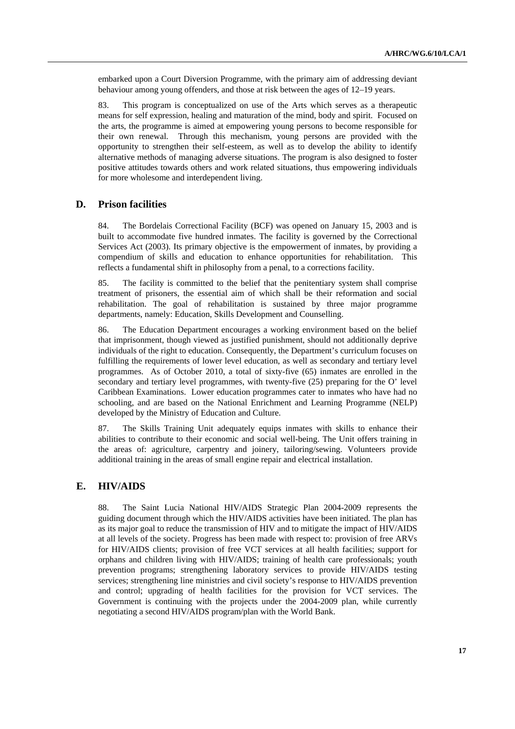embarked upon a Court Diversion Programme, with the primary aim of addressing deviant behaviour among young offenders, and those at risk between the ages of 12–19 years.

83. This program is conceptualized on use of the Arts which serves as a therapeutic means for self expression, healing and maturation of the mind, body and spirit. Focused on the arts, the programme is aimed at empowering young persons to become responsible for their own renewal. Through this mechanism, young persons are provided with the opportunity to strengthen their self-esteem, as well as to develop the ability to identify alternative methods of managing adverse situations. The program is also designed to foster positive attitudes towards others and work related situations, thus empowering individuals for more wholesome and interdependent living.

### **D. Prison facilities**

84. The Bordelais Correctional Facility (BCF) was opened on January 15, 2003 and is built to accommodate five hundred inmates. The facility is governed by the Correctional Services Act (2003). Its primary objective is the empowerment of inmates, by providing a compendium of skills and education to enhance opportunities for rehabilitation. This reflects a fundamental shift in philosophy from a penal, to a corrections facility.

85. The facility is committed to the belief that the penitentiary system shall comprise treatment of prisoners, the essential aim of which shall be their reformation and social rehabilitation. The goal of rehabilitation is sustained by three major programme departments, namely: Education, Skills Development and Counselling.

86. The Education Department encourages a working environment based on the belief that imprisonment, though viewed as justified punishment, should not additionally deprive individuals of the right to education. Consequently, the Department's curriculum focuses on fulfilling the requirements of lower level education, as well as secondary and tertiary level programmes. As of October 2010, a total of sixty-five (65) inmates are enrolled in the secondary and tertiary level programmes, with twenty-five (25) preparing for the O' level Caribbean Examinations. Lower education programmes cater to inmates who have had no schooling, and are based on the National Enrichment and Learning Programme (NELP) developed by the Ministry of Education and Culture.

87. The Skills Training Unit adequately equips inmates with skills to enhance their abilities to contribute to their economic and social well-being. The Unit offers training in the areas of: agriculture, carpentry and joinery, tailoring/sewing. Volunteers provide additional training in the areas of small engine repair and electrical installation.

#### **E. HIV/AIDS**

88. The Saint Lucia National HIV/AIDS Strategic Plan 2004-2009 represents the guiding document through which the HIV/AIDS activities have been initiated. The plan has as its major goal to reduce the transmission of HIV and to mitigate the impact of HIV/AIDS at all levels of the society. Progress has been made with respect to: provision of free ARVs for HIV/AIDS clients; provision of free VCT services at all health facilities; support for orphans and children living with HIV/AIDS; training of health care professionals; youth prevention programs; strengthening laboratory services to provide HIV/AIDS testing services; strengthening line ministries and civil society's response to HIV/AIDS prevention and control; upgrading of health facilities for the provision for VCT services. The Government is continuing with the projects under the 2004-2009 plan, while currently negotiating a second HIV/AIDS program/plan with the World Bank.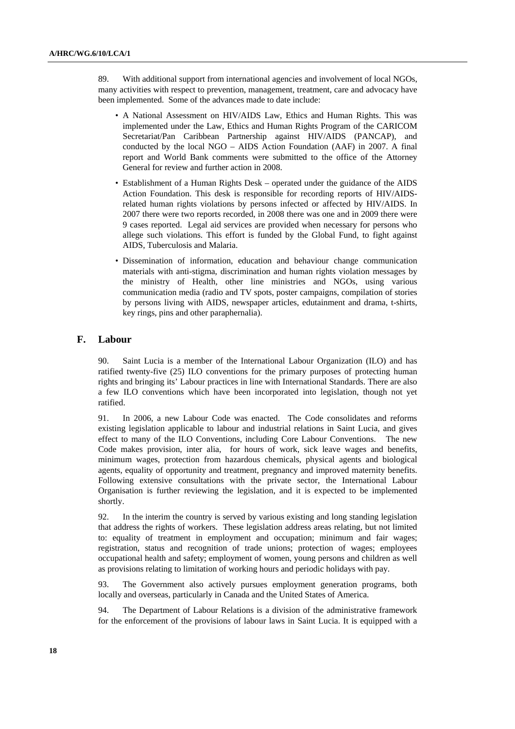89. With additional support from international agencies and involvement of local NGOs, many activities with respect to prevention, management, treatment, care and advocacy have been implemented. Some of the advances made to date include:

- A National Assessment on HIV/AIDS Law, Ethics and Human Rights. This was implemented under the Law, Ethics and Human Rights Program of the CARICOM Secretariat/Pan Caribbean Partnership against HIV/AIDS (PANCAP), and conducted by the local NGO – AIDS Action Foundation (AAF) in 2007. A final report and World Bank comments were submitted to the office of the Attorney General for review and further action in 2008.
- Establishment of a Human Rights Desk operated under the guidance of the AIDS Action Foundation. This desk is responsible for recording reports of HIV/AIDSrelated human rights violations by persons infected or affected by HIV/AIDS. In 2007 there were two reports recorded, in 2008 there was one and in 2009 there were 9 cases reported. Legal aid services are provided when necessary for persons who allege such violations. This effort is funded by the Global Fund, to fight against AIDS, Tuberculosis and Malaria.
- Dissemination of information, education and behaviour change communication materials with anti-stigma, discrimination and human rights violation messages by the ministry of Health, other line ministries and NGOs, using various communication media (radio and TV spots, poster campaigns, compilation of stories by persons living with AIDS, newspaper articles, edutainment and drama, t-shirts, key rings, pins and other paraphernalia).

### **F. Labour**

90. Saint Lucia is a member of the International Labour Organization (ILO) and has ratified twenty-five (25) ILO conventions for the primary purposes of protecting human rights and bringing its' Labour practices in line with International Standards. There are also a few ILO conventions which have been incorporated into legislation, though not yet ratified.

91. In 2006, a new Labour Code was enacted. The Code consolidates and reforms existing legislation applicable to labour and industrial relations in Saint Lucia, and gives effect to many of the ILO Conventions, including Core Labour Conventions. The new Code makes provision, inter alia, for hours of work, sick leave wages and benefits, minimum wages, protection from hazardous chemicals, physical agents and biological agents, equality of opportunity and treatment, pregnancy and improved maternity benefits. Following extensive consultations with the private sector, the International Labour Organisation is further reviewing the legislation, and it is expected to be implemented shortly.

92. In the interim the country is served by various existing and long standing legislation that address the rights of workers. These legislation address areas relating, but not limited to: equality of treatment in employment and occupation; minimum and fair wages; registration, status and recognition of trade unions; protection of wages; employees occupational health and safety; employment of women, young persons and children as well as provisions relating to limitation of working hours and periodic holidays with pay.

93. The Government also actively pursues employment generation programs, both locally and overseas, particularly in Canada and the United States of America.

94. The Department of Labour Relations is a division of the administrative framework for the enforcement of the provisions of labour laws in Saint Lucia. It is equipped with a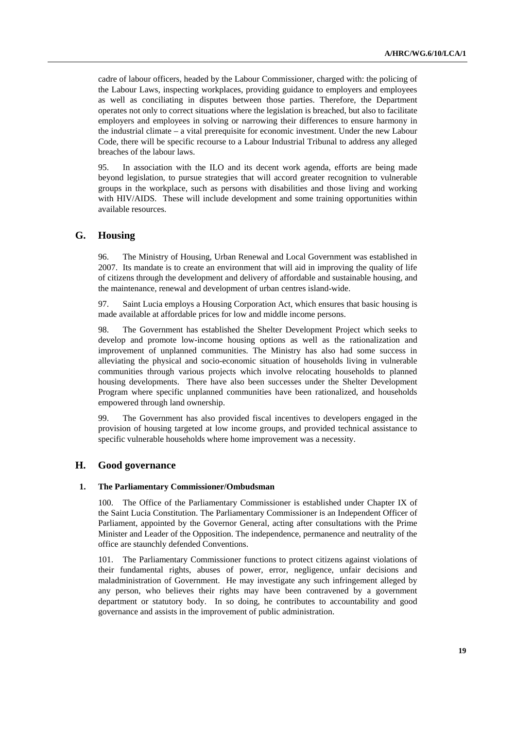cadre of labour officers, headed by the Labour Commissioner, charged with: the policing of the Labour Laws, inspecting workplaces, providing guidance to employers and employees as well as conciliating in disputes between those parties. Therefore, the Department operates not only to correct situations where the legislation is breached, but also to facilitate employers and employees in solving or narrowing their differences to ensure harmony in the industrial climate – a vital prerequisite for economic investment. Under the new Labour Code, there will be specific recourse to a Labour Industrial Tribunal to address any alleged breaches of the labour laws.

95. In association with the ILO and its decent work agenda, efforts are being made beyond legislation, to pursue strategies that will accord greater recognition to vulnerable groups in the workplace, such as persons with disabilities and those living and working with HIV/AIDS. These will include development and some training opportunities within available resources.

### **G. Housing**

96. The Ministry of Housing, Urban Renewal and Local Government was established in 2007. Its mandate is to create an environment that will aid in improving the quality of life of citizens through the development and delivery of affordable and sustainable housing, and the maintenance, renewal and development of urban centres island-wide.

97. Saint Lucia employs a Housing Corporation Act, which ensures that basic housing is made available at affordable prices for low and middle income persons.

98. The Government has established the Shelter Development Project which seeks to develop and promote low-income housing options as well as the rationalization and improvement of unplanned communities. The Ministry has also had some success in alleviating the physical and socio-economic situation of households living in vulnerable communities through various projects which involve relocating households to planned housing developments. There have also been successes under the Shelter Development Program where specific unplanned communities have been rationalized, and households empowered through land ownership.

99. The Government has also provided fiscal incentives to developers engaged in the provision of housing targeted at low income groups, and provided technical assistance to specific vulnerable households where home improvement was a necessity.

### **H. Good governance**

#### **1. The Parliamentary Commissioner/Ombudsman**

100. The Office of the Parliamentary Commissioner is established under Chapter IX of the Saint Lucia Constitution. The Parliamentary Commissioner is an Independent Officer of Parliament, appointed by the Governor General, acting after consultations with the Prime Minister and Leader of the Opposition. The independence, permanence and neutrality of the office are staunchly defended Conventions.

101. The Parliamentary Commissioner functions to protect citizens against violations of their fundamental rights, abuses of power, error, negligence, unfair decisions and maladministration of Government. He may investigate any such infringement alleged by any person, who believes their rights may have been contravened by a government department or statutory body. In so doing, he contributes to accountability and good governance and assists in the improvement of public administration.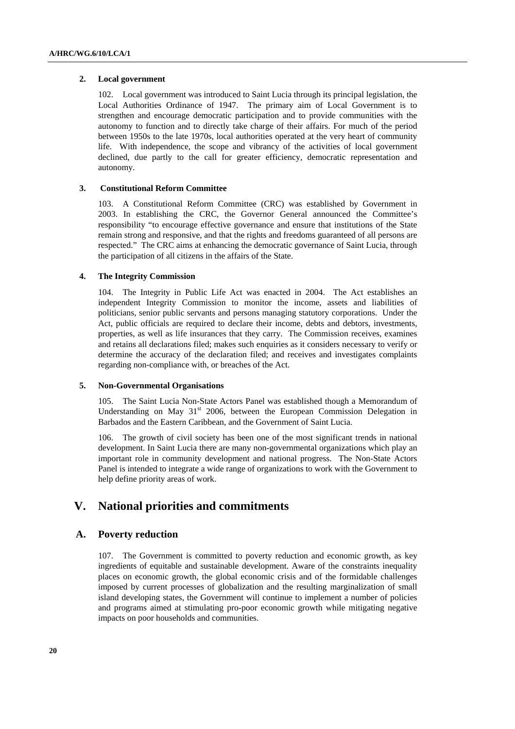#### **2. Local government**

102. Local government was introduced to Saint Lucia through its principal legislation, the Local Authorities Ordinance of 1947. The primary aim of Local Government is to strengthen and encourage democratic participation and to provide communities with the autonomy to function and to directly take charge of their affairs. For much of the period between 1950s to the late 1970s, local authorities operated at the very heart of community life. With independence, the scope and vibrancy of the activities of local government declined, due partly to the call for greater efficiency, democratic representation and autonomy.

#### **3. Constitutional Reform Committee**

103. A Constitutional Reform Committee (CRC) was established by Government in 2003. In establishing the CRC, the Governor General announced the Committee's responsibility "to encourage effective governance and ensure that institutions of the State remain strong and responsive, and that the rights and freedoms guaranteed of all persons are respected." The CRC aims at enhancing the democratic governance of Saint Lucia, through the participation of all citizens in the affairs of the State.

#### **4. The Integrity Commission**

104. The Integrity in Public Life Act was enacted in 2004. The Act establishes an independent Integrity Commission to monitor the income, assets and liabilities of politicians, senior public servants and persons managing statutory corporations. Under the Act, public officials are required to declare their income, debts and debtors, investments, properties, as well as life insurances that they carry. The Commission receives, examines and retains all declarations filed; makes such enquiries as it considers necessary to verify or determine the accuracy of the declaration filed; and receives and investigates complaints regarding non-compliance with, or breaches of the Act.

#### **5. Non-Governmental Organisations**

105. The Saint Lucia Non-State Actors Panel was established though a Memorandum of Understanding on May  $31<sup>st</sup>$  2006, between the European Commission Delegation in Barbados and the Eastern Caribbean, and the Government of Saint Lucia.

106. The growth of civil society has been one of the most significant trends in national development. In Saint Lucia there are many non-governmental organizations which play an important role in community development and national progress. The Non-State Actors Panel is intended to integrate a wide range of organizations to work with the Government to help define priority areas of work.

## **V. National priorities and commitments**

### **A. Poverty reduction**

107. The Government is committed to poverty reduction and economic growth, as key ingredients of equitable and sustainable development. Aware of the constraints inequality places on economic growth, the global economic crisis and of the formidable challenges imposed by current processes of globalization and the resulting marginalization of small island developing states, the Government will continue to implement a number of policies and programs aimed at stimulating pro-poor economic growth while mitigating negative impacts on poor households and communities.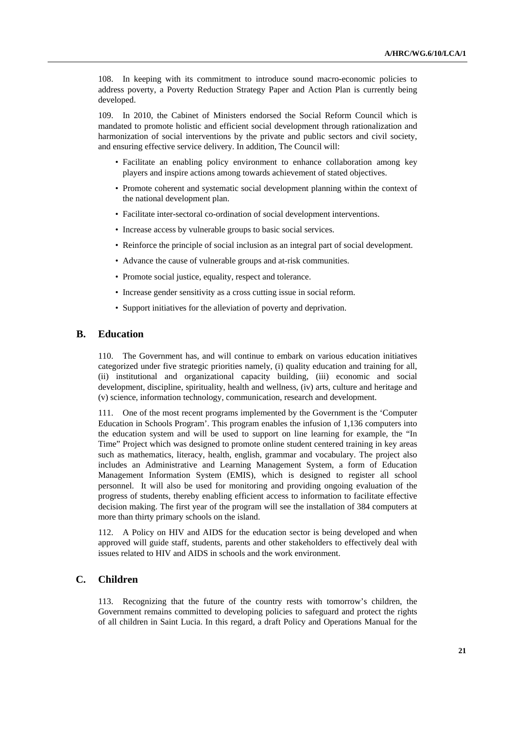108. In keeping with its commitment to introduce sound macro-economic policies to address poverty, a Poverty Reduction Strategy Paper and Action Plan is currently being developed.

109. In 2010, the Cabinet of Ministers endorsed the Social Reform Council which is mandated to promote holistic and efficient social development through rationalization and harmonization of social interventions by the private and public sectors and civil society, and ensuring effective service delivery. In addition, The Council will:

- Facilitate an enabling policy environment to enhance collaboration among key players and inspire actions among towards achievement of stated objectives.
- Promote coherent and systematic social development planning within the context of the national development plan.
- Facilitate inter-sectoral co-ordination of social development interventions.
- Increase access by vulnerable groups to basic social services.
- Reinforce the principle of social inclusion as an integral part of social development.
- Advance the cause of vulnerable groups and at-risk communities.
- Promote social justice, equality, respect and tolerance.
- Increase gender sensitivity as a cross cutting issue in social reform.
- Support initiatives for the alleviation of poverty and deprivation.

### **B. Education**

110. The Government has, and will continue to embark on various education initiatives categorized under five strategic priorities namely, (i) quality education and training for all, (ii) institutional and organizational capacity building, (iii) economic and social development, discipline, spirituality, health and wellness, (iv) arts, culture and heritage and (v) science, information technology, communication, research and development.

111. One of the most recent programs implemented by the Government is the 'Computer Education in Schools Program'. This program enables the infusion of 1,136 computers into the education system and will be used to support on line learning for example, the "In Time" Project which was designed to promote online student centered training in key areas such as mathematics, literacy, health, english, grammar and vocabulary. The project also includes an Administrative and Learning Management System, a form of Education Management Information System (EMIS), which is designed to register all school personnel. It will also be used for monitoring and providing ongoing evaluation of the progress of students, thereby enabling efficient access to information to facilitate effective decision making. The first year of the program will see the installation of 384 computers at more than thirty primary schools on the island.

112. A Policy on HIV and AIDS for the education sector is being developed and when approved will guide staff, students, parents and other stakeholders to effectively deal with issues related to HIV and AIDS in schools and the work environment.

### **C. Children**

113. Recognizing that the future of the country rests with tomorrow's children, the Government remains committed to developing policies to safeguard and protect the rights of all children in Saint Lucia. In this regard, a draft Policy and Operations Manual for the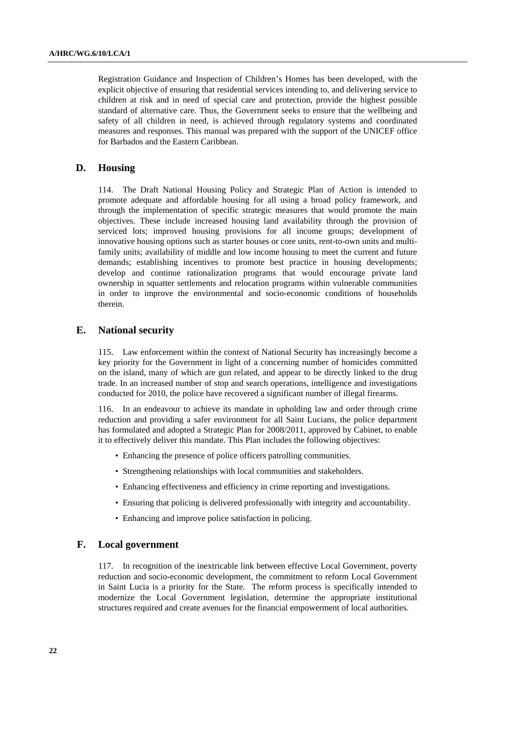Registration Guidance and Inspection of Children's Homes has been developed, with the explicit objective of ensuring that residential services intending to, and delivering service to children at risk and in need of special care and protection, provide the highest possible standard of alternative care. Thus, the Government seeks to ensure that the wellbeing and safety of all children in need, is achieved through regulatory systems and coordinated measures and responses. This manual was prepared with the support of the UNICEF office for Barbados and the Eastern Caribbean.

### **D. Housing**

114. The Draft National Housing Policy and Strategic Plan of Action is intended to promote adequate and affordable housing for all using a broad policy framework, and through the implementation of specific strategic measures that would promote the main objectives. These include increased housing land availability through the provision of serviced lots; improved housing provisions for all income groups; development of innovative housing options such as starter houses or core units, rent-to-own units and multifamily units; availability of middle and low income housing to meet the current and future demands; establishing incentives to promote best practice in housing developments; develop and continue rationalization programs that would encourage private land ownership in squatter settlements and relocation programs within vulnerable communities in order to improve the environmental and socio-economic conditions of households therein.

### **E. National security**

115. Law enforcement within the context of National Security has increasingly become a key priority for the Government in light of a concerning number of homicides committed on the island, many of which are gun related, and appear to be directly linked to the drug trade. In an increased number of stop and search operations, intelligence and investigations conducted for 2010, the police have recovered a significant number of illegal firearms.

116. In an endeavour to achieve its mandate in upholding law and order through crime reduction and providing a safer environment for all Saint Lucians, the police department has formulated and adopted a Strategic Plan for 2008/2011, approved by Cabinet, to enable it to effectively deliver this mandate. This Plan includes the following objectives:

- Enhancing the presence of police officers patrolling communities.
- Strengthening relationships with local communities and stakeholders.
- Enhancing effectiveness and efficiency in crime reporting and investigations.
- Ensuring that policing is delivered professionally with integrity and accountability.
- Enhancing and improve police satisfaction in policing.

### **F. Local government**

117. In recognition of the inextricable link between effective Local Government, poverty reduction and socio-economic development, the commitment to reform Local Government in Saint Lucia is a priority for the State. The reform process is specifically intended to modernize the Local Government legislation, determine the appropriate institutional structures required and create avenues for the financial empowerment of local authorities.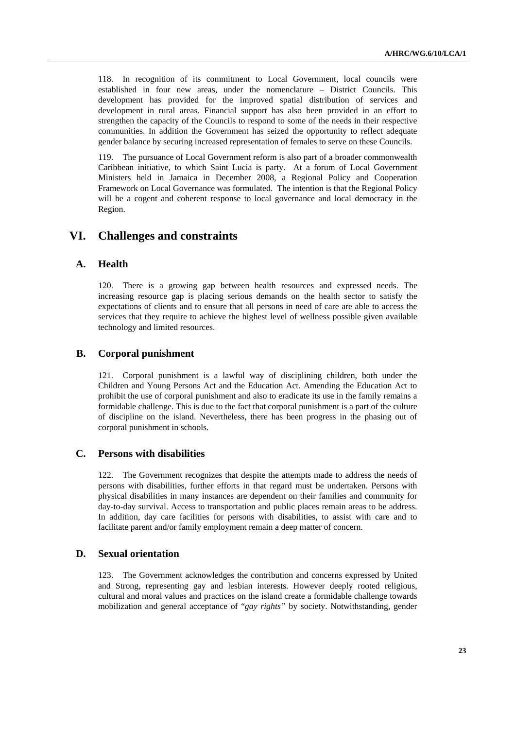118. In recognition of its commitment to Local Government, local councils were established in four new areas, under the nomenclature – District Councils. This development has provided for the improved spatial distribution of services and development in rural areas. Financial support has also been provided in an effort to strengthen the capacity of the Councils to respond to some of the needs in their respective communities. In addition the Government has seized the opportunity to reflect adequate gender balance by securing increased representation of females to serve on these Councils.

119. The pursuance of Local Government reform is also part of a broader commonwealth Caribbean initiative, to which Saint Lucia is party. At a forum of Local Government Ministers held in Jamaica in December 2008, a Regional Policy and Cooperation Framework on Local Governance was formulated. The intention is that the Regional Policy will be a cogent and coherent response to local governance and local democracy in the Region.

## **VI. Challenges and constraints**

### **A. Health**

120. There is a growing gap between health resources and expressed needs. The increasing resource gap is placing serious demands on the health sector to satisfy the expectations of clients and to ensure that all persons in need of care are able to access the services that they require to achieve the highest level of wellness possible given available technology and limited resources.

#### **B. Corporal punishment**

121. Corporal punishment is a lawful way of disciplining children, both under the Children and Young Persons Act and the Education Act. Amending the Education Act to prohibit the use of corporal punishment and also to eradicate its use in the family remains a formidable challenge. This is due to the fact that corporal punishment is a part of the culture of discipline on the island. Nevertheless, there has been progress in the phasing out of corporal punishment in schools.

### **C. Persons with disabilities**

122. The Government recognizes that despite the attempts made to address the needs of persons with disabilities, further efforts in that regard must be undertaken. Persons with physical disabilities in many instances are dependent on their families and community for day-to-day survival. Access to transportation and public places remain areas to be address. In addition, day care facilities for persons with disabilities, to assist with care and to facilitate parent and/or family employment remain a deep matter of concern.

### **D. Sexual orientation**

123. The Government acknowledges the contribution and concerns expressed by United and Strong, representing gay and lesbian interests. However deeply rooted religious, cultural and moral values and practices on the island create a formidable challenge towards mobilization and general acceptance of "*gay rights"* by society. Notwithstanding, gender